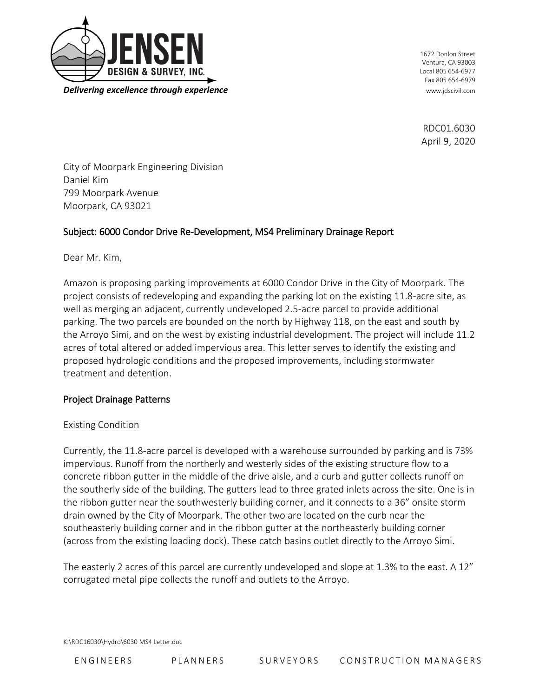

1672 Donlon Street Ventura, CA 93003 Local 805 654-6977 Fax 805 654-6979

RDC01.6030 April 9, 2020

City of Moorpark Engineering Division Daniel Kim 799 Moorpark Avenue Moorpark, CA 93021

### Subject: 6000 Condor Drive Re-Development, MS4 Preliminary Drainage Report

Dear Mr. Kim,

Amazon is proposing parking improvements at 6000 Condor Drive in the City of Moorpark. The project consists of redeveloping and expanding the parking lot on the existing 11.8-acre site, as well as merging an adjacent, currently undeveloped 2.5-acre parcel to provide additional parking. The two parcels are bounded on the north by Highway 118, on the east and south by the Arroyo Simi, and on the west by existing industrial development. The project will include 11.2 acres of total altered or added impervious area. This letter serves to identify the existing and proposed hydrologic conditions and the proposed improvements, including stormwater treatment and detention.

#### Project Drainage Patterns

#### Existing Condition

Currently, the 11.8-acre parcel is developed with a warehouse surrounded by parking and is 73% impervious. Runoff from the northerly and westerly sides of the existing structure flow to a concrete ribbon gutter in the middle of the drive aisle, and a curb and gutter collects runoff on the southerly side of the building. The gutters lead to three grated inlets across the site. One is in the ribbon gutter near the southwesterly building corner, and it connects to a 36" onsite storm drain owned by the City of Moorpark. The other two are located on the curb near the southeasterly building corner and in the ribbon gutter at the northeasterly building corner (across from the existing loading dock). These catch basins outlet directly to the Arroyo Simi.

The easterly 2 acres of this parcel are currently undeveloped and slope at 1.3% to the east. A 12" corrugated metal pipe collects the runoff and outlets to the Arroyo.

K:\RDC16030\Hydro\6030 MS4 Letter.doc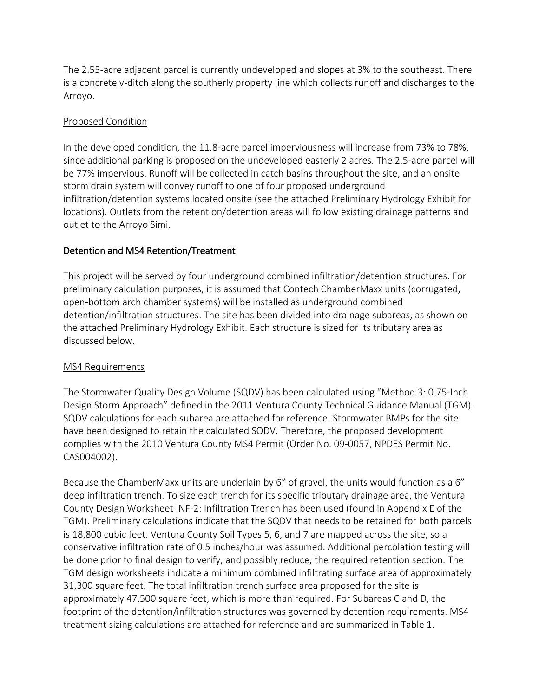The 2.55-acre adjacent parcel is currently undeveloped and slopes at 3% to the southeast. There is a concrete v-ditch along the southerly property line which collects runoff and discharges to the Arroyo.

## Proposed Condition

In the developed condition, the 11.8-acre parcel imperviousness will increase from 73% to 78%, since additional parking is proposed on the undeveloped easterly 2 acres. The 2.5-acre parcel will be 77% impervious. Runoff will be collected in catch basins throughout the site, and an onsite storm drain system will convey runoff to one of four proposed underground infiltration/detention systems located onsite (see the attached Preliminary Hydrology Exhibit for locations). Outlets from the retention/detention areas will follow existing drainage patterns and outlet to the Arroyo Simi.

# Detention and MS4 Retention/Treatment

This project will be served by four underground combined infiltration/detention structures. For preliminary calculation purposes, it is assumed that Contech ChamberMaxx units (corrugated, open-bottom arch chamber systems) will be installed as underground combined detention/infiltration structures. The site has been divided into drainage subareas, as shown on the attached Preliminary Hydrology Exhibit. Each structure is sized for its tributary area as discussed below.

### MS4 Requirements

The Stormwater Quality Design Volume (SQDV) has been calculated using "Method 3: 0.75-Inch Design Storm Approach" defined in the 2011 Ventura County Technical Guidance Manual (TGM). SQDV calculations for each subarea are attached for reference. Stormwater BMPs for the site have been designed to retain the calculated SQDV. Therefore, the proposed development complies with the 2010 Ventura County MS4 Permit (Order No. 09-0057, NPDES Permit No. CAS004002).

Because the ChamberMaxx units are underlain by 6" of gravel, the units would function as a 6" deep infiltration trench. To size each trench for its specific tributary drainage area, the Ventura County Design Worksheet INF-2: Infiltration Trench has been used (found in Appendix E of the TGM). Preliminary calculations indicate that the SQDV that needs to be retained for both parcels is 18,800 cubic feet. Ventura County Soil Types 5, 6, and 7 are mapped across the site, so a conservative infiltration rate of 0.5 inches/hour was assumed. Additional percolation testing will be done prior to final design to verify, and possibly reduce, the required retention section. The TGM design worksheets indicate a minimum combined infiltrating surface area of approximately 31,300 square feet. The total infiltration trench surface area proposed for the site is approximately 47,500 square feet, which is more than required. For Subareas C and D, the footprint of the detention/infiltration structures was governed by detention requirements. MS4 treatment sizing calculations are attached for reference and are summarized in Table 1.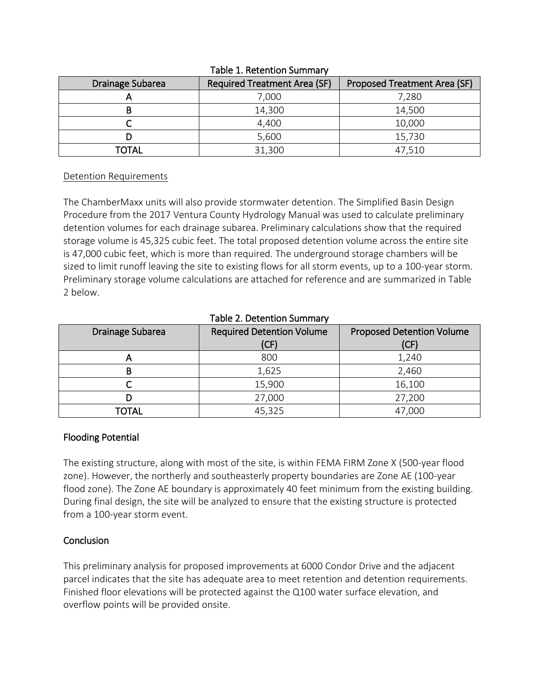| Drainage Subarea | <b>Required Treatment Area (SF)</b> | Proposed Treatment Area (SF) |  |  |  |
|------------------|-------------------------------------|------------------------------|--|--|--|
|                  | 7,000                               | 7,280                        |  |  |  |
| В                | 14,300                              | 14,500                       |  |  |  |
|                  | 4,400                               | 10,000                       |  |  |  |
|                  | 5,600                               | 15,730                       |  |  |  |
| TOTAL            | 31,300                              | 47,510                       |  |  |  |

#### Table 1. Retention Summary

#### Detention Requirements

The ChamberMaxx units will also provide stormwater detention. The Simplified Basin Design Procedure from the 2017 Ventura County Hydrology Manual was used to calculate preliminary detention volumes for each drainage subarea. Preliminary calculations show that the required storage volume is 45,325 cubic feet. The total proposed detention volume across the entire site is 47,000 cubic feet, which is more than required. The underground storage chambers will be sized to limit runoff leaving the site to existing flows for all storm events, up to a 100-year storm. Preliminary storage volume calculations are attached for reference and are summarized in Table 2 below.

| TAME 2. DELENTION SUITINGLY |                                          |                                          |  |  |  |
|-----------------------------|------------------------------------------|------------------------------------------|--|--|--|
| Drainage Subarea            | <b>Required Detention Volume</b><br>(CF) | <b>Proposed Detention Volume</b><br>(CF) |  |  |  |
|                             | 800                                      | 1,240                                    |  |  |  |
|                             | 1,625                                    | 2,460                                    |  |  |  |
|                             | 15,900                                   | 16,100                                   |  |  |  |
|                             | 27,000                                   | 27,200                                   |  |  |  |
| <b>TOTAL</b>                | 45,325                                   | 47,000                                   |  |  |  |

### Table 2. Detention Summary

### Flooding Potential

The existing structure, along with most of the site, is within FEMA FIRM Zone X (500-year flood zone). However, the northerly and southeasterly property boundaries are Zone AE (100-year flood zone). The Zone AE boundary is approximately 40 feet minimum from the existing building. During final design, the site will be analyzed to ensure that the existing structure is protected from a 100-year storm event.

# **Conclusion**

This preliminary analysis for proposed improvements at 6000 Condor Drive and the adjacent parcel indicates that the site has adequate area to meet retention and detention requirements. Finished floor elevations will be protected against the Q100 water surface elevation, and overflow points will be provided onsite.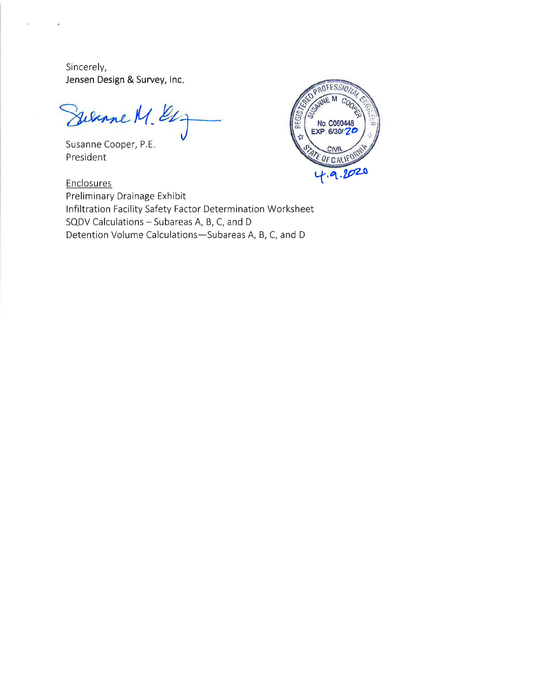Sincerely, Jensen Design & Survey, Inc.

Silvane M. El

Susanne Cooper, P.E. President



Enclosures Preliminary Drainage Exhibit Infiltration Facility Safety Factor Determination Worksheet SQDV Calculations - Subareas A, B, C, and D Detention Volume Calculations-Subareas A, B, C, and D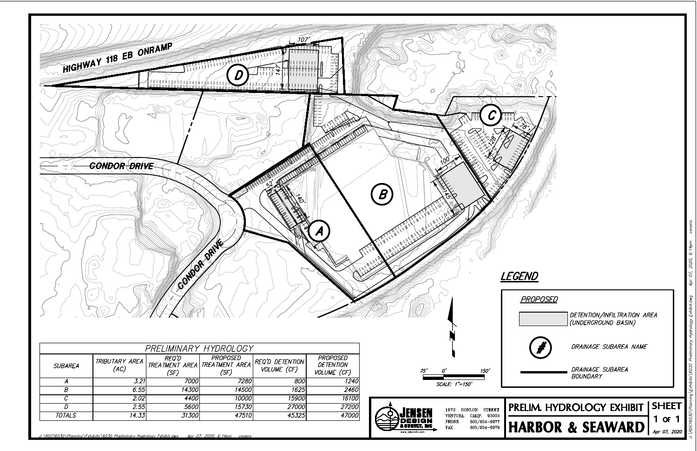

| PRELIMINARY HYDROLOGY |                        |                      |                                                            |                                |                                                    |  |  |
|-----------------------|------------------------|----------------------|------------------------------------------------------------|--------------------------------|----------------------------------------------------|--|--|
| <b>SUBAREA</b>        | TRIBUTARY AREA<br>(AC) | <i>REQ'D</i><br>'SF) | <b>PROPOSED</b><br>TREATMENT AREA   TREATMENT AREA<br>'SF) | REQ'D DETENTION<br>VOLUME (CF) | <b>PROPOSED</b><br><b>DETENTION</b><br>VOLUME (CF) |  |  |
|                       | $\overline{3.21}$      | <i>7000\</i>         | 7280                                                       | 800                            | 1240                                               |  |  |
| Β                     | 6.55                   | 14300l               | 14500                                                      | 1625                           | 2460                                               |  |  |
|                       | 2.02l                  | 4400                 | 10000                                                      | 15900                          | 16100                                              |  |  |
|                       | 2.55                   | <i>5600</i>          | 15730                                                      | 27000                          | 27200                                              |  |  |
| <b>TOTALS</b>         | 14.33                  | 31300                | 47510                                                      | 45325                          | 47000                                              |  |  |



SCALE: 1"=150'

 $150'$ 

: \RDC16030\Planning\Exhibits\6030\_Preliminary\_Hydrology\_Exhibit.dwg\_\_\_\_\_\_\_\_\_\_\_\_\_\_\_\_\_\_\_\_\_\_\_\_\_\_\_\_\_\_\_\_<br>:\RDC16030\Planning\Exhibits\6030\_Preliminary\_Hydrology\_Exhibit.dwg\_\_\_\_\_\_\_\_\_\_\_\_\_

DETENTION/INFILTRATION AREA (UNDERGROUND BASIN) DRAINAGE SUBAREA NAME DRAINAGE SUBAREA<br>BOUNDARY PRELIM. HYDROLOGY EXHIBIT | SHEET 1 or 1 

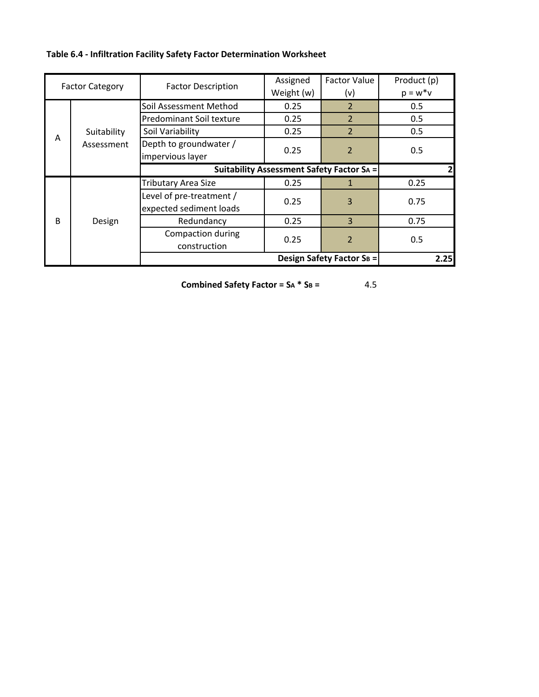**Table 6.4 ‐ Infiltration Facility Safety Factor Determination Worksheet**

| <b>Factor Category</b> |             | <b>Factor Description</b>                 | Assigned   | <b>Factor Value</b>              | Product (p) |
|------------------------|-------------|-------------------------------------------|------------|----------------------------------|-------------|
|                        |             |                                           | Weight (w) | (v)                              | $p = w^*v$  |
|                        |             | Soil Assessment Method                    | 0.25       | $\overline{2}$                   | 0.5         |
|                        |             | Predominant Soil texture                  | 0.25       | $\overline{2}$                   | 0.5         |
|                        | Suitability | Soil Variability                          | 0.25       | $\overline{2}$                   | 0.5         |
| Α                      | Assessment  | Depth to groundwater /                    |            |                                  |             |
|                        |             | impervious layer                          |            | 0.25<br>$\overline{\phantom{a}}$ | 0.5         |
|                        |             | Suitability Assessment Safety Factor SA = |            |                                  |             |
|                        |             | Tributary Area Size                       | 0.25       |                                  | 0.25        |
|                        |             | Level of pre-treatment /                  | 0.25       | 3                                | 0.75        |
|                        |             | expected sediment loads                   |            |                                  |             |
| B                      | Design      | Redundancy                                | 0.25       | 3                                | 0.75        |
|                        |             | Compaction during                         | 0.25       | $\overline{\mathcal{L}}$         | 0.5         |
|                        |             | construction                              |            |                                  |             |
|                        |             |                                           |            | <b>Design Safety Factor SB =</b> | 2.25        |

**Combined Safety Factor = SA \* SB =**

4.5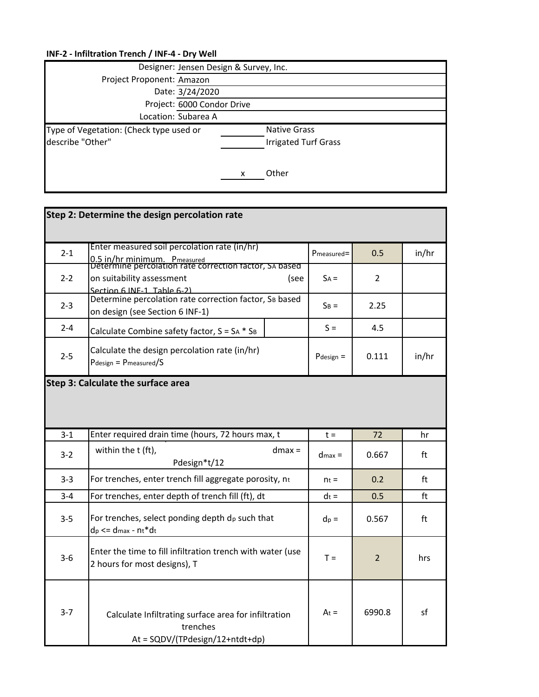|                                                             | Designer: Jensen Design & Survey, Inc.             |
|-------------------------------------------------------------|----------------------------------------------------|
| Project Proponent: Amazon                                   |                                                    |
|                                                             | Date: 3/24/2020                                    |
|                                                             | Project: 6000 Condor Drive                         |
|                                                             | Location: Subarea A                                |
| Type of Vegetation: (Check type used or<br>describe "Other" | <b>Native Grass</b><br><b>Irrigated Turf Grass</b> |
|                                                             | Other                                              |

|         | Step 2: Determine the design percolation rate                                                                                          |                |                |       |
|---------|----------------------------------------------------------------------------------------------------------------------------------------|----------------|----------------|-------|
| $2 - 1$ | Enter measured soil percolation rate (in/hr)<br>0.5 in/hr minimum. Pmeasured<br>Determine percolation rate correction factor, SA based | Pmeasured=     | 0.5            | in/hr |
| $2 - 2$ | on suitability assessment<br>(see<br>Section 6 INF-1, Table 6-2)                                                                       | $SA =$         | 2              |       |
| $2 - 3$ | Determine percolation rate correction factor, SB based<br>on design (see Section 6 INF-1)                                              | $S_B =$        | 2.25           |       |
| $2 - 4$ | Calculate Combine safety factor, $S = SA * S_B$                                                                                        | $S =$          | 4.5            |       |
| $2 - 5$ | Calculate the design percolation rate (in/hr)<br>$P$ design = $P$ measured/S                                                           | $P$ design $=$ | 0.111          | in/hr |
|         | Step 3: Calculate the surface area                                                                                                     |                |                |       |
| $3 - 1$ | Enter required drain time (hours, 72 hours max, t                                                                                      | $t =$          | 72             | hr    |
|         |                                                                                                                                        |                |                |       |
| $3-2$   | within the t (ft),<br>$dmax =$<br>Pdesign*t/12                                                                                         | $d$ max =      | 0.667          | ft    |
| $3 - 3$ | For trenches, enter trench fill aggregate porosity, nt                                                                                 | $n_t =$        | 0.2            | ft    |
| $3 - 4$ | For trenches, enter depth of trench fill (ft), dt                                                                                      | $dt =$         | 0.5            | ft    |
| $3 - 5$ | For trenches, select ponding depth dp such that<br>$dp \leq d$ max - nt*dt                                                             | $dp =$         | 0.567          | ft    |
| $3-6$   | Enter the time to fill infiltration trench with water (use<br>2 hours for most designs), T                                             | $T =$          | $\overline{2}$ | hrs   |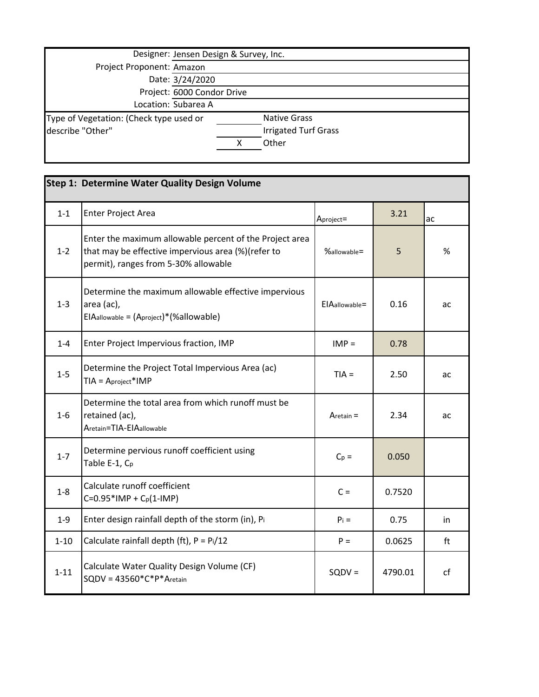| Designer: Jensen Design & Survey, Inc.  |                     |                             |  |  |
|-----------------------------------------|---------------------|-----------------------------|--|--|
| Project Proponent: Amazon               |                     |                             |  |  |
| Date: 3/24/2020                         |                     |                             |  |  |
| Project: 6000 Condor Drive              |                     |                             |  |  |
|                                         | Location: Subarea A |                             |  |  |
| Type of Vegetation: (Check type used or |                     | <b>Native Grass</b>         |  |  |
| describe "Other"                        |                     | <b>Irrigated Turf Grass</b> |  |  |
|                                         |                     | Other                       |  |  |
|                                         |                     |                             |  |  |

|          | Step 1: Determine Water Quality Design Volume                                                                                                         |                 |         |    |  |
|----------|-------------------------------------------------------------------------------------------------------------------------------------------------------|-----------------|---------|----|--|
| $1 - 1$  | Enter Project Area                                                                                                                                    | Aproject=       | 3.21    | ac |  |
| $1 - 2$  | Enter the maximum allowable percent of the Project area<br>that may be effective impervious area (%)(refer to<br>permit), ranges from 5-30% allowable | $\%$ allowable= | 5       | %  |  |
| $1 - 3$  | Determine the maximum allowable effective impervious<br>area (ac),<br>EIAallowable = (Aproject)* (%allowable)                                         | ElAallowable=   | 0.16    | ac |  |
| $1 - 4$  | Enter Project Impervious fraction, IMP                                                                                                                | $IMP =$         | 0.78    |    |  |
| $1-5$    | Determine the Project Total Impervious Area (ac)<br>$TIA = Aproject*IMP$                                                                              | $TIA =$         | 2.50    | ac |  |
| $1-6$    | Determine the total area from which runoff must be<br>retained (ac),<br>Aretain=TIA-EIAallowable                                                      | Aretain $=$     | 2.34    | ac |  |
| $1 - 7$  | Determine pervious runoff coefficient using<br>Table E-1, Cp                                                                                          | $C_p =$         | 0.050   |    |  |
| $1-8$    | Calculate runoff coefficient<br>$C=0.95*$ IMP + $C_p(1-IMP)$                                                                                          | $C =$           | 0.7520  |    |  |
| $1 - 9$  | Enter design rainfall depth of the storm (in), Pi                                                                                                     | $P_i =$         | 0.75    | in |  |
| $1 - 10$ | Calculate rainfall depth (ft), $P = Pi/12$                                                                                                            | $P =$           | 0.0625  | ft |  |
| $1 - 11$ | Calculate Water Quality Design Volume (CF)<br>$SQDV = 43560*C*P*Aretain$                                                                              | $SQDV =$        | 4790.01 | cf |  |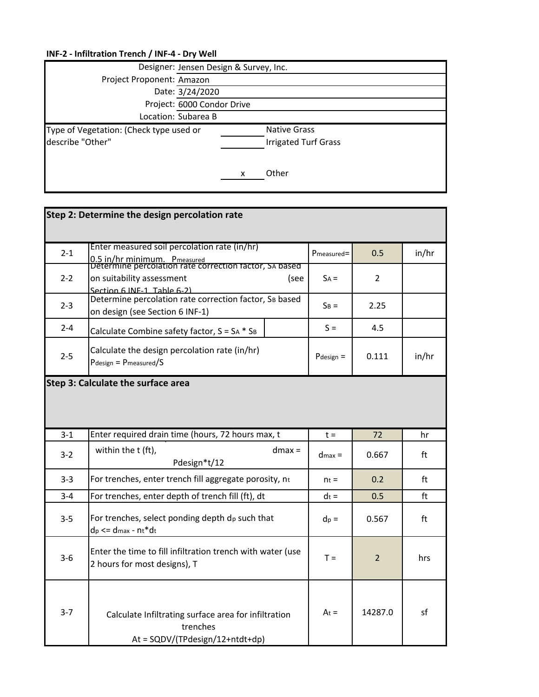|                                                             | Designer: Jensen Design & Survey, Inc.             |
|-------------------------------------------------------------|----------------------------------------------------|
| Project Proponent: Amazon                                   |                                                    |
| Date: 3/24/2020                                             |                                                    |
|                                                             | Project: 6000 Condor Drive                         |
| Location: Subarea B                                         |                                                    |
| Type of Vegetation: (Check type used or<br>describe "Other" | <b>Native Grass</b><br><b>Irrigated Turf Grass</b> |
|                                                             | Other                                              |

|         | Step 2: Determine the design percolation rate                                                                                          |              |                |       |
|---------|----------------------------------------------------------------------------------------------------------------------------------------|--------------|----------------|-------|
| $2 - 1$ | Enter measured soil percolation rate (in/hr)<br>0.5 in/hr minimum. Pmeasured<br>Determine percolation rate correction factor, SA based | Pmeasured=   | 0.5            | in/hr |
| $2 - 2$ | on suitability assessment<br>(see<br>Section 6 INF-1, Table 6-2)                                                                       | $SA =$       | 2              |       |
| $2 - 3$ | Determine percolation rate correction factor, SB based<br>on design (see Section 6 INF-1)                                              | $S_B =$      | 2.25           |       |
| $2 - 4$ | Calculate Combine safety factor, $S = SA * S_B$                                                                                        | $S =$        | 4.5            |       |
| $2 - 5$ | Calculate the design percolation rate (in/hr)<br>$P$ design = $P$ measured/S                                                           | $P$ design = | 0.111          | in/hr |
|         | <b>Step 3: Calculate the surface area</b>                                                                                              |              |                |       |
| $3 - 1$ | Enter required drain time (hours, 72 hours max, t                                                                                      | $t =$        | 72             | hr    |
| $3 - 2$ | within the t (ft),<br>$dmax =$                                                                                                         | $d$ max $=$  | 0.667          |       |
|         | Pdesign*t/12                                                                                                                           |              |                | ft    |
| $3 - 3$ | For trenches, enter trench fill aggregate porosity, nt                                                                                 | $n_t =$      | 0.2            | ft    |
| $3 - 4$ | For trenches, enter depth of trench fill (ft), dt                                                                                      | $dt =$       | 0.5            | ft    |
| $3 - 5$ | For trenches, select ponding depth $d_p$ such that<br>$dp \leq d$ max - nt*dt                                                          | $dp =$       | 0.567          | ft    |
| $3-6$   | Enter the time to fill infiltration trench with water (use<br>2 hours for most designs), T                                             | $T =$        | $\overline{2}$ | hrs   |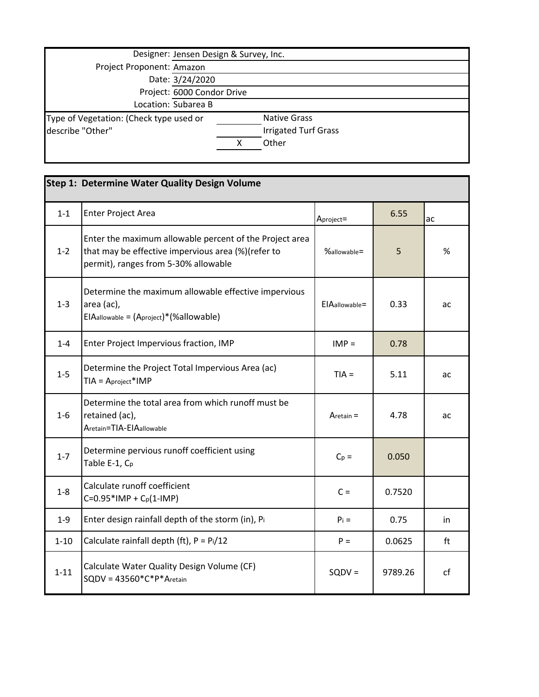|                                         | Designer: Jensen Design & Survey, Inc. |                             |  |  |
|-----------------------------------------|----------------------------------------|-----------------------------|--|--|
| Project Proponent: Amazon               |                                        |                             |  |  |
| Date: 3/24/2020                         |                                        |                             |  |  |
| Project: 6000 Condor Drive              |                                        |                             |  |  |
|                                         | Location: Subarea B                    |                             |  |  |
| Type of Vegetation: (Check type used or |                                        | <b>Native Grass</b>         |  |  |
| describe "Other"                        |                                        | <b>Irrigated Turf Grass</b> |  |  |
|                                         |                                        | Other                       |  |  |
|                                         |                                        |                             |  |  |

|          | Step 1: Determine Water Quality Design Volume                                                                                                         |                  |         |    |  |
|----------|-------------------------------------------------------------------------------------------------------------------------------------------------------|------------------|---------|----|--|
| $1 - 1$  | <b>Enter Project Area</b>                                                                                                                             | Aproject=        | 6.55    | ac |  |
| $1 - 2$  | Enter the maximum allowable percent of the Project area<br>that may be effective impervious area (%)(refer to<br>permit), ranges from 5-30% allowable | %allowable=      | 5       | %  |  |
| $1 - 3$  | Determine the maximum allowable effective impervious<br>area (ac),<br>$EIA$ allowable = $(A$ project $)$ * $(\%$ allowable $)$                        | $EIAallowable =$ | 0.33    | ac |  |
| $1 - 4$  | Enter Project Impervious fraction, IMP                                                                                                                | $IMP =$          | 0.78    |    |  |
| $1-5$    | Determine the Project Total Impervious Area (ac)<br>$TIA = Aproject*IMP$                                                                              | $TIA =$          | 5.11    | ac |  |
| $1-6$    | Determine the total area from which runoff must be<br>retained (ac),<br>Aretain=TIA-EIAallowable                                                      | $Aretain =$      | 4.78    | ac |  |
| $1 - 7$  | Determine pervious runoff coefficient using<br>Table E-1, C <sub>p</sub>                                                                              | $C_p =$          | 0.050   |    |  |
| $1 - 8$  | Calculate runoff coefficient<br>$C=0.95*$ IMP + C <sub>p</sub> (1-IMP)                                                                                | $C =$            | 0.7520  |    |  |
| $1 - 9$  | Enter design rainfall depth of the storm (in), Pi                                                                                                     | $P_i =$          | 0.75    | in |  |
| $1 - 10$ | Calculate rainfall depth (ft), $P = Pi/12$                                                                                                            | $P =$            | 0.0625  | ft |  |
| $1 - 11$ | Calculate Water Quality Design Volume (CF)<br>$SQDV = 43560*C*P*Aretain$                                                                              | $SQDV =$         | 9789.26 | cf |  |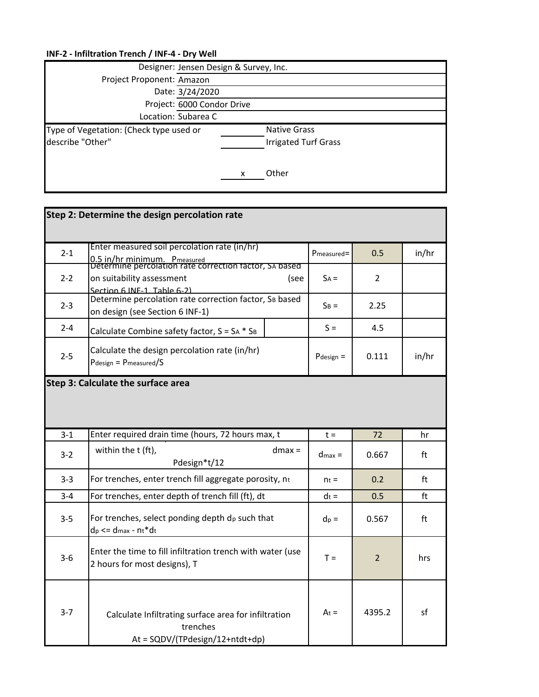|                                                             | Designer: Jensen Design & Survey, Inc.             |  |  |
|-------------------------------------------------------------|----------------------------------------------------|--|--|
| Project Proponent: Amazon                                   |                                                    |  |  |
|                                                             | Date: 3/24/2020                                    |  |  |
|                                                             | Project: 6000 Condor Drive                         |  |  |
|                                                             | Location: Subarea C                                |  |  |
| Type of Vegetation: (Check type used or<br>describe "Other" | <b>Native Grass</b><br><b>Irrigated Turf Grass</b> |  |  |
|                                                             | Other                                              |  |  |

|         | Step 2: Determine the design percolation rate                                                                                          |                |                |       |
|---------|----------------------------------------------------------------------------------------------------------------------------------------|----------------|----------------|-------|
| $2 - 1$ | Enter measured soil percolation rate (in/hr)<br>0.5 in/hr minimum. Pmeasured<br>Determine percolation rate correction factor, SA based | Pmeasured=     | 0.5            | in/hr |
| $2 - 2$ | on suitability assessment<br>(see<br>Section 6 INF-1, Table 6-2)                                                                       | $SA =$         | 2              |       |
| $2 - 3$ | Determine percolation rate correction factor, SB based<br>on design (see Section 6 INF-1)                                              | $S_B =$        | 2.25           |       |
| $2 - 4$ | Calculate Combine safety factor, $S = SA * S_B$                                                                                        | $S =$          | 4.5            |       |
| $2 - 5$ | Calculate the design percolation rate (in/hr)<br>$P$ design = $P$ measured/S                                                           | $P$ design $=$ | 0.111          | in/hr |
|         | Step 3: Calculate the surface area                                                                                                     |                |                |       |
| $3 - 1$ | Enter required drain time (hours, 72 hours max, t                                                                                      | $t =$          | 72             |       |
|         |                                                                                                                                        |                |                | hr    |
| $3-2$   | within the t (ft),<br>$dmax =$<br>Pdesign*t/12                                                                                         | $d$ max =      | 0.667          | ft    |
| $3 - 3$ | For trenches, enter trench fill aggregate porosity, nt                                                                                 | $n_t =$        | 0.2            | ft    |
| $3 - 4$ | For trenches, enter depth of trench fill (ft), dt                                                                                      | $dt =$         | 0.5            | ft    |
| $3 - 5$ | For trenches, select ponding depth dp such that<br>$dp \leq d$ max - nt*dt                                                             | $dp =$         | 0.567          | ft    |
| $3-6$   | Enter the time to fill infiltration trench with water (use<br>2 hours for most designs), T                                             | $T =$          | $\overline{2}$ | hrs   |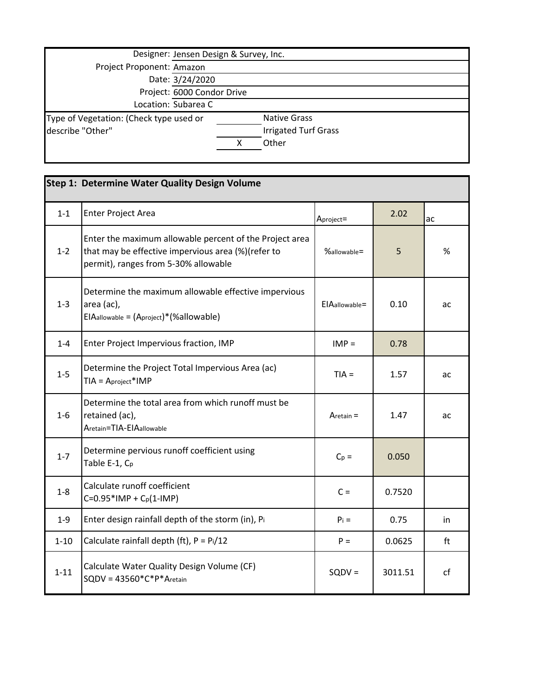| Designer: Jensen Design & Survey, Inc.  |                            |                             |  |
|-----------------------------------------|----------------------------|-----------------------------|--|
| Project Proponent: Amazon               |                            |                             |  |
|                                         | Date: 3/24/2020            |                             |  |
|                                         | Project: 6000 Condor Drive |                             |  |
|                                         | Location: Subarea C        |                             |  |
| Type of Vegetation: (Check type used or |                            | <b>Native Grass</b>         |  |
| describe "Other"                        |                            | <b>Irrigated Turf Grass</b> |  |
|                                         |                            | Other                       |  |
|                                         |                            |                             |  |

|          | Step 1: Determine Water Quality Design Volume                                                                                                         |                  |         |    |
|----------|-------------------------------------------------------------------------------------------------------------------------------------------------------|------------------|---------|----|
| $1 - 1$  | <b>Enter Project Area</b>                                                                                                                             | Aproject=        | 2.02    | ac |
| $1 - 2$  | Enter the maximum allowable percent of the Project area<br>that may be effective impervious area (%)(refer to<br>permit), ranges from 5-30% allowable | %allowable=      | 5       | %  |
| $1 - 3$  | Determine the maximum allowable effective impervious<br>area (ac),<br>$EIA$ allowable = $(A$ project $)$ * $(\%$ allowable $)$                        | $EIAallowable =$ | 0.10    | ac |
| $1 - 4$  | Enter Project Impervious fraction, IMP                                                                                                                | $IMP =$          | 0.78    |    |
| $1 - 5$  | Determine the Project Total Impervious Area (ac)<br>$TIA = Aproject*IMP$                                                                              | $TIA =$          | 1.57    | ac |
| $1-6$    | Determine the total area from which runoff must be<br>retained (ac),<br>Aretain=TIA-EIAallowable                                                      | Aretain $=$      | 1.47    | ac |
| $1 - 7$  | Determine pervious runoff coefficient using<br>Table E-1, C <sub>p</sub>                                                                              | $C_p =$          | 0.050   |    |
| $1 - 8$  | Calculate runoff coefficient<br>$C=0.95*$ IMP + C <sub>p</sub> (1-IMP)                                                                                | $C =$            | 0.7520  |    |
| $1 - 9$  | Enter design rainfall depth of the storm (in), Pi                                                                                                     | $P_i =$          | 0.75    | in |
| $1 - 10$ | Calculate rainfall depth (ft), $P = Pi/12$                                                                                                            | $P =$            | 0.0625  | ft |
| $1 - 11$ | Calculate Water Quality Design Volume (CF)<br>$SQDV = 43560*C*P*Aretain$                                                                              | $SQDV =$         | 3011.51 | cf |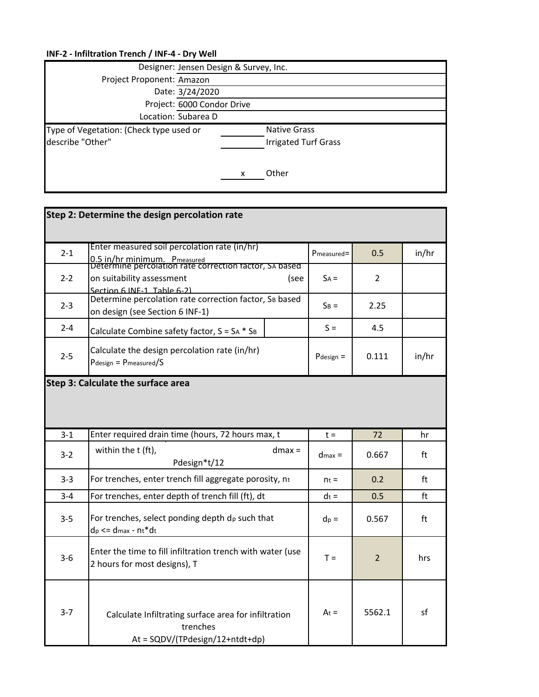|                                                             | Designer: Jensen Design & Survey, Inc.             |  |  |
|-------------------------------------------------------------|----------------------------------------------------|--|--|
| Project Proponent: Amazon                                   |                                                    |  |  |
|                                                             | Date: 3/24/2020                                    |  |  |
|                                                             | Project: 6000 Condor Drive                         |  |  |
|                                                             | Location: Subarea D                                |  |  |
| Type of Vegetation: (Check type used or<br>describe "Other" | <b>Native Grass</b><br><b>Irrigated Turf Grass</b> |  |  |
|                                                             | Other                                              |  |  |

|         | Step 2: Determine the design percolation rate                                                                                          |             |                |       |
|---------|----------------------------------------------------------------------------------------------------------------------------------------|-------------|----------------|-------|
| $2 - 1$ | Enter measured soil percolation rate (in/hr)<br>0.5 in/hr minimum. Pmeasured<br>Determine percolation rate correction factor, SA based | Pmeasured=  | 0.5            | in/hr |
| $2 - 2$ | on suitability assessment<br>(see<br>Section 6 INF-1, Table 6-2)                                                                       | $SA =$      | 2              |       |
| $2 - 3$ | Determine percolation rate correction factor, SB based<br>on design (see Section 6 INF-1)                                              | $SB =$      | 2.25           |       |
| $2 - 4$ | Calculate Combine safety factor, $S = SA * S_B$                                                                                        | $S =$       | 4.5            |       |
| $2 - 5$ | Calculate the design percolation rate (in/hr)<br>$P$ design = $P$ measured/S                                                           | Pdesign $=$ | 0.111          | in/hr |
|         | Step 3: Calculate the surface area                                                                                                     |             |                |       |
| $3-1$   | Enter required drain time (hours, 72 hours max, t                                                                                      | $t =$       | 72             | hr    |
| $3-2$   | within the t (ft),<br>$dmax =$<br>Pdesign*t/12                                                                                         | $d$ max =   | 0.667          | ft    |
| $3 - 3$ | For trenches, enter trench fill aggregate porosity, nt                                                                                 | $n_t =$     | 0.2            | ft    |
| $3 - 4$ | For trenches, enter depth of trench fill (ft), dt                                                                                      | $dt =$      | 0.5            | ft    |
| $3 - 5$ | For trenches, select ponding depth $d_p$ such that<br>$dp \leq d$ max - nt*dt                                                          |             | 0.567          | ft    |
| $3 - 6$ | Enter the time to fill infiltration trench with water (use                                                                             | $T =$       | $\overline{2}$ | hrs   |
|         | 2 hours for most designs), T                                                                                                           |             |                |       |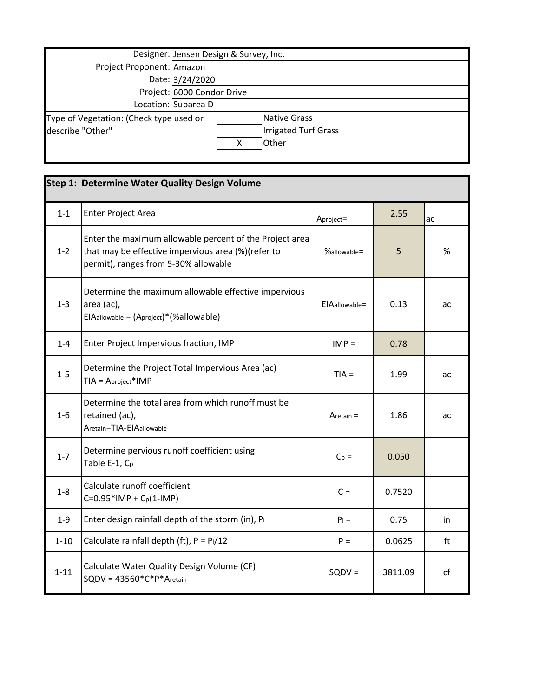| Designer: Jensen Design & Survey, Inc.  |                            |                             |  |
|-----------------------------------------|----------------------------|-----------------------------|--|
|                                         | Project Proponent: Amazon  |                             |  |
|                                         | Date: 3/24/2020            |                             |  |
|                                         | Project: 6000 Condor Drive |                             |  |
|                                         | Location: Subarea D        |                             |  |
| Type of Vegetation: (Check type used or |                            | <b>Native Grass</b>         |  |
| describe "Other"                        |                            | <b>Irrigated Turf Grass</b> |  |
|                                         |                            | Other                       |  |
|                                         |                            |                             |  |

|          | Step 1: Determine Water Quality Design Volume                                                                                                         |                  |         |    |
|----------|-------------------------------------------------------------------------------------------------------------------------------------------------------|------------------|---------|----|
| $1 - 1$  | <b>Enter Project Area</b>                                                                                                                             | Aproject=        | 2.55    | ac |
| $1 - 2$  | Enter the maximum allowable percent of the Project area<br>that may be effective impervious area (%)(refer to<br>permit), ranges from 5-30% allowable | %allowable=      | 5       | %  |
| $1 - 3$  | Determine the maximum allowable effective impervious<br>area (ac),<br>$EIA$ allowable = $(A$ project $)$ * $(\%$ allowable $)$                        | $EIAallowable =$ | 0.13    | ac |
| $1 - 4$  | Enter Project Impervious fraction, IMP                                                                                                                | $IMP =$          | 0.78    |    |
| $1 - 5$  | Determine the Project Total Impervious Area (ac)<br>$TIA = Aproject*IMP$                                                                              | $TIA =$          | 1.99    | ac |
| $1-6$    | Determine the total area from which runoff must be<br>retained (ac),<br>Aretain=TIA-EIAallowable                                                      | $Aretain =$      | 1.86    | ac |
| $1 - 7$  | Determine pervious runoff coefficient using<br>Table E-1, C <sub>p</sub>                                                                              | $C_p =$          | 0.050   |    |
| $1 - 8$  | Calculate runoff coefficient<br>$C=0.95*$ IMP + C <sub>p</sub> (1-IMP)                                                                                | $C =$            | 0.7520  |    |
| $1 - 9$  | Enter design rainfall depth of the storm (in), Pi                                                                                                     | $P_i =$          | 0.75    | in |
| $1 - 10$ | Calculate rainfall depth (ft), $P = Pi/12$                                                                                                            | $P =$            | 0.0625  | ft |
| $1 - 11$ | Calculate Water Quality Design Volume (CF)<br>$SQDV = 43560*C*P*Aretain$                                                                              | $SQDV =$         | 3811.09 | cf |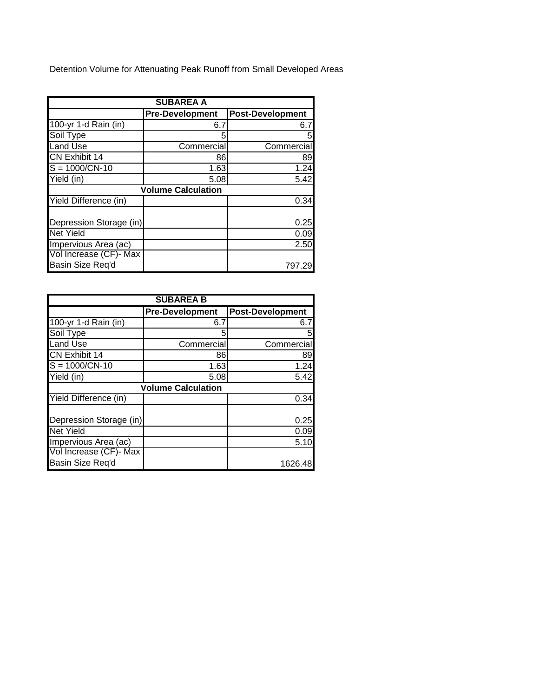Detention Volume for Attenuating Peak Runoff from Small Developed Areas

| <b>SUBAREA A</b>        |                           |                         |  |
|-------------------------|---------------------------|-------------------------|--|
|                         | <b>Pre-Development</b>    | <b>Post-Development</b> |  |
| 100-yr 1-d Rain (in)    | 6.7                       | 6.7                     |  |
| Soil Type               |                           |                         |  |
| <b>Land Use</b>         | Commercial                | Commercial              |  |
| <b>CN Exhibit 14</b>    | 86                        | 89                      |  |
| $S = 1000/CN - 10$      | 1.63                      | 1.24                    |  |
| Yield (in)              | 5.08                      | 5.42                    |  |
|                         | <b>Volume Calculation</b> |                         |  |
| Yield Difference (in)   |                           | 0.34                    |  |
|                         |                           |                         |  |
| Depression Storage (in) |                           | 0.25                    |  |
| <b>Net Yield</b>        |                           | 0.09                    |  |
| Impervious Area (ac)    |                           | 2.50                    |  |
| Vol Increase (CF)- Max  |                           |                         |  |
| Basin Size Req'd        |                           | 797.29                  |  |

| <b>SUBAREA B</b>        |                           |                  |  |
|-------------------------|---------------------------|------------------|--|
|                         | <b>Pre-Development</b>    | Post-Development |  |
| 100-yr 1-d Rain (in)    | 6.7                       | 6.7              |  |
| Soil Type               |                           | 5                |  |
| <b>Land Use</b>         | Commercial                | Commercial       |  |
| CN Exhibit 14           | 86                        | 89               |  |
| $S = 1000/CN - 10$      | 1.63                      | 1.24             |  |
| Yield (in)              | 5.08                      | 5.42             |  |
|                         | <b>Volume Calculation</b> |                  |  |
| Yield Difference (in)   |                           | 0.34             |  |
|                         |                           |                  |  |
| Depression Storage (in) |                           | 0.25             |  |
| <b>Net Yield</b>        |                           | 0.09             |  |
| Impervious Area (ac)    |                           | 5.10             |  |
| Vol Increase (CF)- Max  |                           |                  |  |
| Basin Size Req'd        |                           | 1626.48          |  |